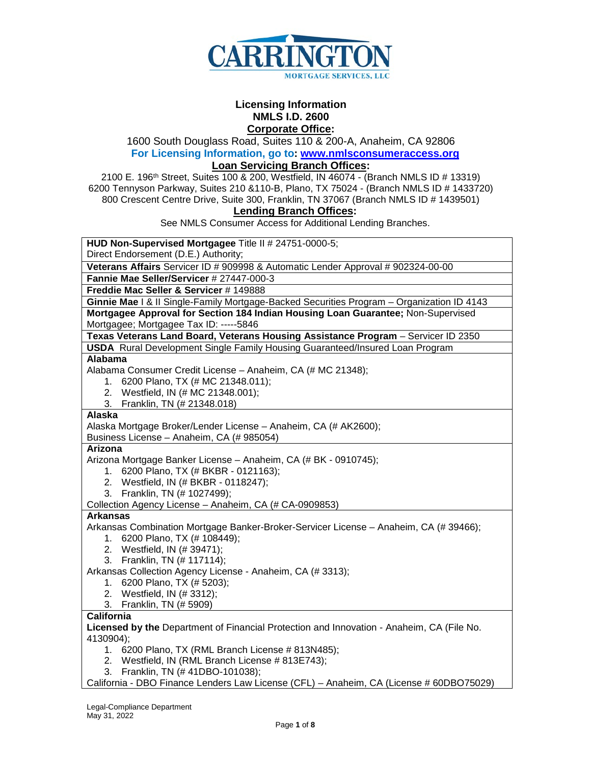

#### **Licensing Information NMLS I.D. 2600 Corporate Office:**

1600 South Douglass Road, Suites 110 & 200-A, Anaheim, CA 92806

**For Licensing Information, go to: [www.nmlsconsumeraccess.org](http://www.nmlsconsumeraccess.org/)**

## **Loan Servicing Branch Offices:**

2100 E. 196th Street, Suites 100 & 200, Westfield, IN 46074 - (Branch NMLS ID # 13319) 6200 Tennyson Parkway, Suites 210 &110-B, Plano, TX 75024 - (Branch NMLS ID # 1433720) 800 Crescent Centre Drive, Suite 300, Franklin, TN 37067 (Branch NMLS ID # 1439501)

# **Lending Branch Offices:**

See NMLS Consumer Access for Additional Lending Branches.

**HUD Non-Supervised Mortgagee** Title II # 24751-0000-5;

Direct Endorsement (D.E.) Authority;

**Veterans Affairs** Servicer ID # 909998 & Automatic Lender Approval # 902324-00-00

**Fannie Mae Seller/Servicer** # 27447-000-3

**Freddie Mac Seller & Servicer** # 149888

**Ginnie Mae** I & II Single-Family Mortgage-Backed Securities Program – Organization ID 4143 **Mortgagee Approval for Section 184 Indian Housing Loan Guarantee;** Non-Supervised Mortgagee; Mortgagee Tax ID: -----5846

# **Texas Veterans Land Board, Veterans Housing Assistance Program** – Servicer ID 2350

**USDA** Rural Development Single Family Housing Guaranteed/Insured Loan Program **Alabama**

Alabama Consumer Credit License – Anaheim, CA (# MC 21348);

- 1. 6200 Plano, TX (# MC 21348.011);
- 2. Westfield, IN (# MC 21348.001);
- 3. Franklin, TN (# 21348.018)

#### **Alaska**

Alaska Mortgage Broker/Lender License – Anaheim, CA (# AK2600); Business License – Anaheim, CA (# 985054)

#### **Arizona**

Arizona Mortgage Banker License – Anaheim, CA (# BK - 0910745);

- 1. 6200 Plano, TX (# BKBR 0121163);
- 2. Westfield, IN (# BKBR 0118247);
- 3. Franklin, TN (# 1027499);

Collection Agency License – Anaheim, CA (# CA-0909853)

# **Arkansas**

Arkansas Combination Mortgage Banker-Broker-Servicer License – Anaheim, CA (# 39466);

- 1. 6200 Plano, TX (# 108449);
- 2. Westfield, IN (# 39471);
- 3. Franklin, TN (# 117114);

Arkansas Collection Agency License - Anaheim, CA (# 3313);

- 1. 6200 Plano, TX (# 5203);
- 2. Westfield, IN (# 3312);
- 3. Franklin, TN (# 5909)

## **California**

**Licensed by the** Department of Financial Protection and Innovation - Anaheim, CA (File No. 4130904);

- 1. 6200 Plano, TX (RML Branch License # 813N485);
- 2. Westfield, IN (RML Branch License # 813E743);
- 3. Franklin, TN (# 41DBO-101038);

California - DBO Finance Lenders Law License (CFL) – Anaheim, CA (License # 60DBO75029)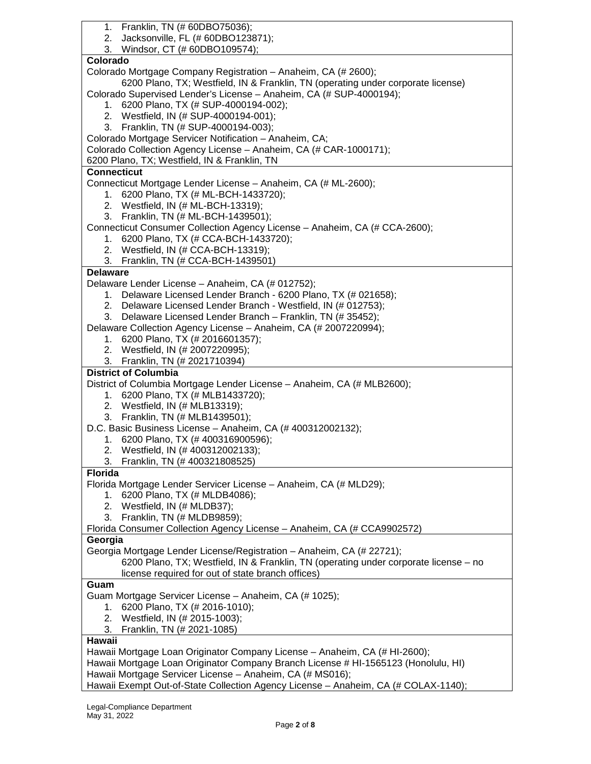| 1. Franklin, TN (# 60DBO75036);                                                      |
|--------------------------------------------------------------------------------------|
| 2. Jacksonville, FL (# 60DBO123871);                                                 |
| 3. Windsor, CT (# 60DBO109574);                                                      |
| Colorado                                                                             |
| Colorado Mortgage Company Registration - Anaheim, CA (# 2600);                       |
| 6200 Plano, TX; Westfield, IN & Franklin, TN (operating under corporate license)     |
| Colorado Supervised Lender's License - Anaheim, CA (# SUP-4000194);                  |
| 1. 6200 Plano, TX (# SUP-4000194-002);                                               |
| 2. Westfield, IN (# SUP-4000194-001);                                                |
| 3. Franklin, TN (# SUP-4000194-003);                                                 |
| Colorado Mortgage Servicer Notification - Anaheim, CA;                               |
| Colorado Collection Agency License - Anaheim, CA (# CAR-1000171);                    |
| 6200 Plano, TX; Westfield, IN & Franklin, TN                                         |
| <b>Connecticut</b>                                                                   |
| Connecticut Mortgage Lender License - Anaheim, CA (# ML-2600);                       |
| 1. 6200 Plano, TX (# ML-BCH-1433720);                                                |
| 2. Westfield, IN (# ML-BCH-13319);                                                   |
| 3. Franklin, TN (# ML-BCH-1439501);                                                  |
| Connecticut Consumer Collection Agency License - Anaheim, CA (# CCA-2600);           |
| 1. 6200 Plano, TX (# CCA-BCH-1433720);                                               |
| 2. Westfield, IN (# CCA-BCH-13319);                                                  |
| 3. Franklin, TN (# CCA-BCH-1439501)                                                  |
| <b>Delaware</b>                                                                      |
| Delaware Lender License - Anaheim, CA (# 012752);                                    |
| 1. Delaware Licensed Lender Branch - 6200 Plano, TX (# 021658);                      |
| 2. Delaware Licensed Lender Branch - Westfield, IN (# 012753);                       |
| 3. Delaware Licensed Lender Branch - Franklin, TN (# 35452);                         |
| Delaware Collection Agency License - Anaheim, CA (# 2007220994);                     |
| 1. 6200 Plano, TX (# 2016601357);                                                    |
|                                                                                      |
| 2. Westfield, IN (# 2007220995);                                                     |
| 3. Franklin, TN (# 2021710394)                                                       |
| <b>District of Columbia</b>                                                          |
| District of Columbia Mortgage Lender License - Anaheim, CA (# MLB2600);              |
| 1. 6200 Plano, TX (# MLB1433720);                                                    |
| 2. Westfield, IN (# MLB13319);                                                       |
| 3. Franklin, TN (# MLB1439501);                                                      |
| D.C. Basic Business License - Anaheim, CA (# 400312002132);                          |
| 1. 6200 Plano, TX (#400316900596);                                                   |
| 2. Westfield, IN (# 400312002133);                                                   |
| Franklin, TN (# 400321808525)<br>3.                                                  |
| <b>Florida</b>                                                                       |
| Florida Mortgage Lender Servicer License - Anaheim, CA (# MLD29);                    |
| 1. 6200 Plano, TX (# MLDB4086);                                                      |
| 2. Westfield, IN (# MLDB37);                                                         |
| 3. Franklin, TN (# MLDB9859);                                                        |
| Florida Consumer Collection Agency License - Anaheim, CA (# CCA9902572)              |
| Georgia                                                                              |
| Georgia Mortgage Lender License/Registration - Anaheim, CA (# 22721);                |
| 6200 Plano, TX; Westfield, IN & Franklin, TN (operating under corporate license – no |
| license required for out of state branch offices)                                    |
| Guam                                                                                 |
| Guam Mortgage Servicer License - Anaheim, CA (# 1025);                               |
| 1. 6200 Plano, TX (# 2016-1010);                                                     |
| 2. Westfield, IN (# 2015-1003);                                                      |
| Franklin, TN (# 2021-1085)<br>3.                                                     |
| <b>Hawaii</b>                                                                        |
| Hawaii Mortgage Loan Originator Company License - Anaheim, CA (# HI-2600);           |
| Hawaii Mortgage Loan Originator Company Branch License # HI-1565123 (Honolulu, HI)   |
| Hawaii Mortgage Servicer License - Anaheim, CA (# MS016);                            |
| Hawaii Exempt Out-of-State Collection Agency License - Anaheim, CA (# COLAX-1140);   |
|                                                                                      |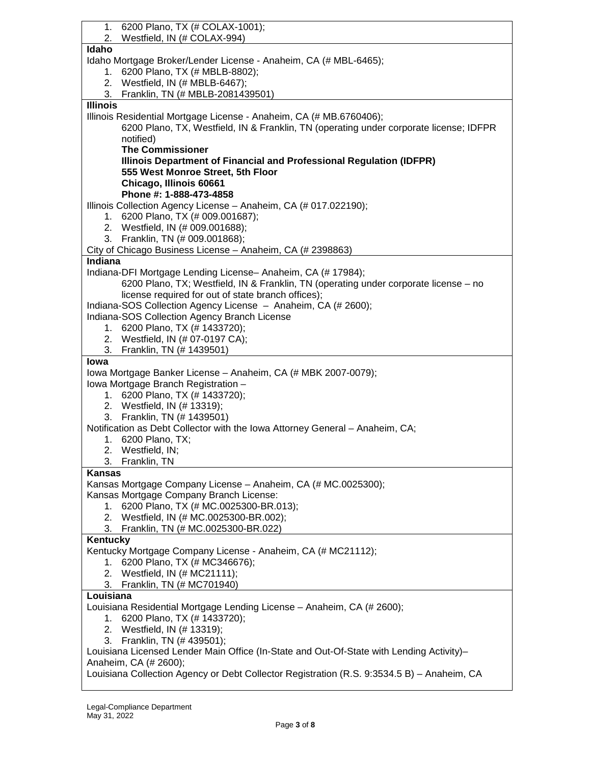| 6200 Plano, TX (# COLAX-1001);<br>1.                                                       |
|--------------------------------------------------------------------------------------------|
| Westfield, IN (# COLAX-994)<br>2.                                                          |
| Idaho                                                                                      |
| Idaho Mortgage Broker/Lender License - Anaheim, CA (# MBL-6465);                           |
| 1. 6200 Plano, TX (# MBLB-8802);                                                           |
| 2. Westfield, IN (# MBLB-6467);                                                            |
| Franklin, TN (# MBLB-2081439501)<br>3.                                                     |
| <b>Illinois</b>                                                                            |
| Illinois Residential Mortgage License - Anaheim, CA (# MB.6760406);                        |
| 6200 Plano, TX, Westfield, IN & Franklin, TN (operating under corporate license; IDFPR     |
| notified)                                                                                  |
| <b>The Commissioner</b>                                                                    |
| Illinois Department of Financial and Professional Regulation (IDFPR)                       |
| 555 West Monroe Street, 5th Floor                                                          |
| Chicago, Illinois 60661                                                                    |
| Phone #: 1-888-473-4858                                                                    |
| Illinois Collection Agency License - Anaheim, CA (# 017.022190);                           |
| 1. 6200 Plano, TX (# 009.001687);                                                          |
| 2. Westfield, IN (# 009.001688);                                                           |
| 3. Franklin, TN (# 009.001868);                                                            |
| City of Chicago Business License - Anaheim, CA (# 2398863)                                 |
| Indiana                                                                                    |
| Indiana-DFI Mortgage Lending License- Anaheim, CA (# 17984);                               |
| 6200 Plano, TX; Westfield, IN & Franklin, TN (operating under corporate license – no       |
| license required for out of state branch offices);                                         |
| Indiana-SOS Collection Agency License - Anaheim, CA (# 2600);                              |
| Indiana-SOS Collection Agency Branch License                                               |
| 1. 6200 Plano, TX (# 1433720);                                                             |
| 2. Westfield, IN (# 07-0197 CA);                                                           |
| 3. Franklin, TN (# 1439501)                                                                |
| lowa                                                                                       |
| Iowa Mortgage Banker License - Anaheim, CA (# MBK 2007-0079);                              |
|                                                                                            |
| Iowa Mortgage Branch Registration -                                                        |
| 1. 6200 Plano, TX (# 1433720);                                                             |
| 2. Westfield, IN (# 13319);                                                                |
| 3. Franklin, TN (# 1439501)                                                                |
| Notification as Debt Collector with the Iowa Attorney General - Anaheim, CA;               |
| 1. 6200 Plano, TX;                                                                         |
| 2. Westfield, IN;                                                                          |
| 3. Franklin, TN                                                                            |
| Kansas                                                                                     |
| Kansas Mortgage Company License – Anaheim, CA (# MC.0025300);                              |
| Kansas Mortgage Company Branch License:                                                    |
| 1. 6200 Plano, TX (# MC.0025300-BR.013);                                                   |
| 2. Westfield, IN (# MC.0025300-BR.002);                                                    |
| 3. Franklin, TN (# MC.0025300-BR.022)                                                      |
| Kentucky                                                                                   |
| Kentucky Mortgage Company License - Anaheim, CA (# MC21112);                               |
| 1. 6200 Plano, TX (# MC346676);                                                            |
| 2. Westfield, IN (# MC21111);                                                              |
| 3. Franklin, TN (# MC701940)                                                               |
| Louisiana                                                                                  |
| Louisiana Residential Mortgage Lending License - Anaheim, CA (# 2600);                     |
| 6200 Plano, TX (# 1433720);<br>1.                                                          |
| 2. Westfield, IN (# 13319);                                                                |
| 3. Franklin, TN (# 439501);                                                                |
| Louisiana Licensed Lender Main Office (In-State and Out-Of-State with Lending Activity)-   |
| Anaheim, CA (# 2600);                                                                      |
| Louisiana Collection Agency or Debt Collector Registration (R.S. 9:3534.5 B) - Anaheim, CA |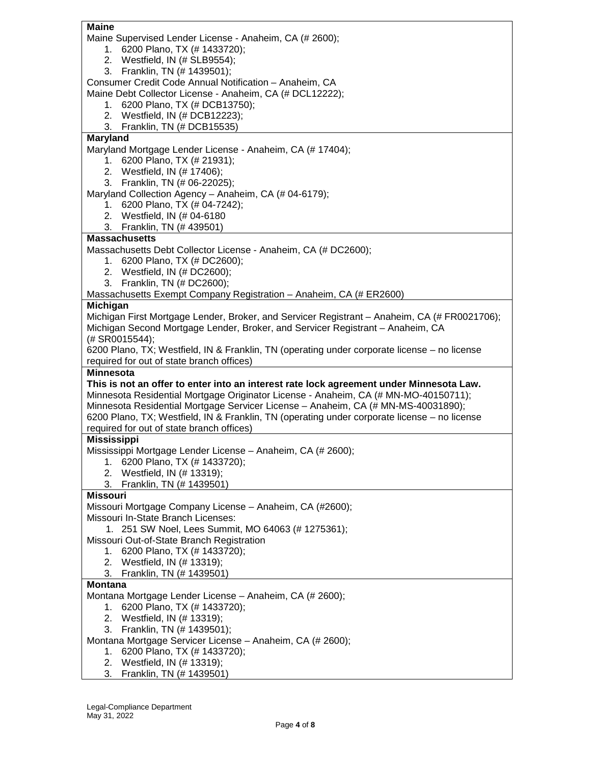| <b>Maine</b>                                                                                 |
|----------------------------------------------------------------------------------------------|
| Maine Supervised Lender License - Anaheim, CA (# 2600);                                      |
| 1. 6200 Plano, TX (# 1433720);                                                               |
| 2. Westfield, IN (# SLB9554);                                                                |
| 3. Franklin, TN (# 1439501);                                                                 |
| Consumer Credit Code Annual Notification - Anaheim, CA                                       |
| Maine Debt Collector License - Anaheim, CA (# DCL12222);                                     |
| 1. 6200 Plano, TX (# DCB13750);                                                              |
| 2. Westfield, IN (# DCB12223);                                                               |
| 3. Franklin, TN (# DCB15535)                                                                 |
| <b>Maryland</b>                                                                              |
| Maryland Mortgage Lender License - Anaheim, CA (# 17404);                                    |
| 1. 6200 Plano, TX (# 21931);                                                                 |
| 2. Westfield, IN (# 17406);                                                                  |
| 3. Franklin, TN (# 06-22025);                                                                |
| Maryland Collection Agency - Anaheim, CA (# 04-6179);                                        |
| 1. 6200 Plano, TX (# 04-7242);                                                               |
| 2. Westfield, IN (# 04-6180                                                                  |
| 3. Franklin, TN (# 439501)                                                                   |
| <b>Massachusetts</b>                                                                         |
| Massachusetts Debt Collector License - Anaheim, CA (# DC2600);                               |
| 1. 6200 Plano, TX (# DC2600);                                                                |
| 2. Westfield, IN (# DC2600);                                                                 |
| 3. Franklin, TN (# DC2600);                                                                  |
| Massachusetts Exempt Company Registration - Anaheim, CA (# ER2600)                           |
| Michigan                                                                                     |
| Michigan First Mortgage Lender, Broker, and Servicer Registrant - Anaheim, CA (# FR0021706); |
| Michigan Second Mortgage Lender, Broker, and Servicer Registrant - Anaheim, CA               |
| (# SR0015544);                                                                               |
| 6200 Plano, TX; Westfield, IN & Franklin, TN (operating under corporate license – no license |
| required for out of state branch offices)                                                    |
| Minnesota                                                                                    |
| This is not an offer to enter into an interest rate lock agreement under Minnesota Law.      |
| Minnesota Residential Mortgage Originator License - Anaheim, CA (# MN-MO-40150711);          |
| Minnesota Residential Mortgage Servicer License - Anaheim, CA (# MN-MS-40031890);            |
| 6200 Plano, TX; Westfield, IN & Franklin, TN (operating under corporate license - no license |
| required for out of state branch offices)                                                    |
| <b>Mississippi</b>                                                                           |
| Mississippi Mortgage Lender License - Anaheim, CA (# 2600);                                  |
| 6200 Plano, TX (# 1433720);<br>1.                                                            |
| 2. Westfield, IN (# 13319);                                                                  |
| Franklin, TN (# 1439501)<br>3.                                                               |
| <b>Missouri</b>                                                                              |
| Missouri Mortgage Company License - Anaheim, CA (#2600);                                     |
| Missouri In-State Branch Licenses:                                                           |
| 1. 251 SW Noel, Lees Summit, MO 64063 (# 1275361);                                           |
| Missouri Out-of-State Branch Registration                                                    |
| 6200 Plano, TX (# 1433720);<br>1.                                                            |
| 2. Westfield, IN (# 13319);                                                                  |
| Franklin, TN (# 1439501)<br>3.                                                               |
| <b>Montana</b>                                                                               |
| Montana Mortgage Lender License - Anaheim, CA (# 2600);                                      |
| 1. 6200 Plano, TX (# 1433720);                                                               |
|                                                                                              |
| 2. Westfield, IN (# 13319);                                                                  |
| 3. Franklin, TN (# 1439501);                                                                 |
| Montana Mortgage Servicer License - Anaheim, CA (# 2600);                                    |
| 1. 6200 Plano, TX (# 1433720);<br>2. Westfield, IN (# 13319);                                |

3. Franklin, TN (# 1439501)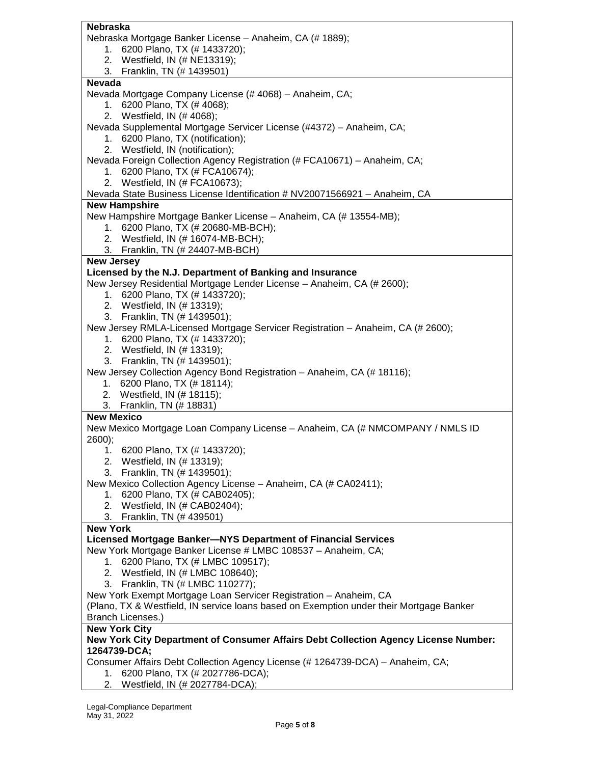| <b>Nebraska</b>                                                                         |
|-----------------------------------------------------------------------------------------|
| Nebraska Mortgage Banker License - Anaheim, CA (# 1889);                                |
| 6200 Plano, TX (# 1433720);<br>1.                                                       |
| 2. Westfield, IN (# NE13319);                                                           |
| 3. Franklin, TN (# 1439501)                                                             |
| <b>Nevada</b>                                                                           |
|                                                                                         |
| Nevada Mortgage Company License (#4068) - Anaheim, CA;                                  |
| 1. 6200 Plano, TX (# 4068);                                                             |
| 2. Westfield, IN (# 4068);                                                              |
| Nevada Supplemental Mortgage Servicer License (#4372) - Anaheim, CA;                    |
| 1. 6200 Plano, TX (notification);                                                       |
| 2. Westfield, IN (notification);                                                        |
| Nevada Foreign Collection Agency Registration (# FCA10671) - Anaheim, CA;               |
| 1. 6200 Plano, TX (# FCA10674);                                                         |
| 2. Westfield, IN (# FCA10673);                                                          |
| Nevada State Business License Identification # NV20071566921 - Anaheim, CA              |
| <b>New Hampshire</b>                                                                    |
| New Hampshire Mortgage Banker License - Anaheim, CA (# 13554-MB);                       |
| 1. 6200 Plano, TX (# 20680-MB-BCH);                                                     |
| 2. Westfield, IN (# 16074-MB-BCH);                                                      |
| 3. Franklin, TN (# 24407-MB-BCH)                                                        |
|                                                                                         |
| <b>New Jersey</b>                                                                       |
| Licensed by the N.J. Department of Banking and Insurance                                |
| New Jersey Residential Mortgage Lender License - Anaheim, CA (# 2600);                  |
| 1. 6200 Plano, TX (# 1433720);                                                          |
| 2. Westfield, IN (# 13319);                                                             |
| 3. Franklin, TN (# 1439501);                                                            |
| New Jersey RMLA-Licensed Mortgage Servicer Registration - Anaheim, CA (# 2600);         |
| 1. 6200 Plano, TX (# 1433720);                                                          |
| 2. Westfield, IN (# 13319);                                                             |
| 3. Franklin, TN (# 1439501);                                                            |
| New Jersey Collection Agency Bond Registration - Anaheim, CA (# 18116);                 |
| 1. 6200 Plano, TX (# 18114);                                                            |
| 2. Westfield, IN (# 18115);                                                             |
| 3. Franklin, TN (# 18831)                                                               |
| <b>New Mexico</b>                                                                       |
| New Mexico Mortgage Loan Company License - Anaheim, CA (# NMCOMPANY / NMLS ID           |
| 2600);                                                                                  |
| 6200 Plano, TX (# 1433720);<br>1.                                                       |
| 2. Westfield, IN (# 13319);                                                             |
| 3. Franklin, TN (# 1439501);                                                            |
| New Mexico Collection Agency License - Anaheim, CA (# CA02411);                         |
| 6200 Plano, TX (# CAB02405);<br>1.                                                      |
|                                                                                         |
| 2. Westfield, IN (# CAB02404);                                                          |
| 3. Franklin, TN (# 439501)                                                              |
| <b>New York</b>                                                                         |
| Licensed Mortgage Banker-NYS Department of Financial Services                           |
| New York Mortgage Banker License # LMBC 108537 - Anaheim, CA;                           |
| 1. 6200 Plano, TX (# LMBC 109517);                                                      |
| 2. Westfield, IN (# LMBC 108640);                                                       |
| 3. Franklin, TN (# LMBC 110277);                                                        |
| New York Exempt Mortgage Loan Servicer Registration - Anaheim, CA                       |
| (Plano, TX & Westfield, IN service loans based on Exemption under their Mortgage Banker |
| Branch Licenses.)                                                                       |
| <b>New York City</b>                                                                    |
| New York City Department of Consumer Affairs Debt Collection Agency License Number:     |
| 1264739-DCA;                                                                            |
| Consumer Affairs Debt Collection Agency License (# 1264739-DCA) - Anaheim, CA;          |
| 1. 6200 Plano, TX (# 2027786-DCA);                                                      |
| 2. Westfield, IN (# 2027784-DCA);                                                       |
|                                                                                         |

2. Westfield, IN (# 2027784-DCA);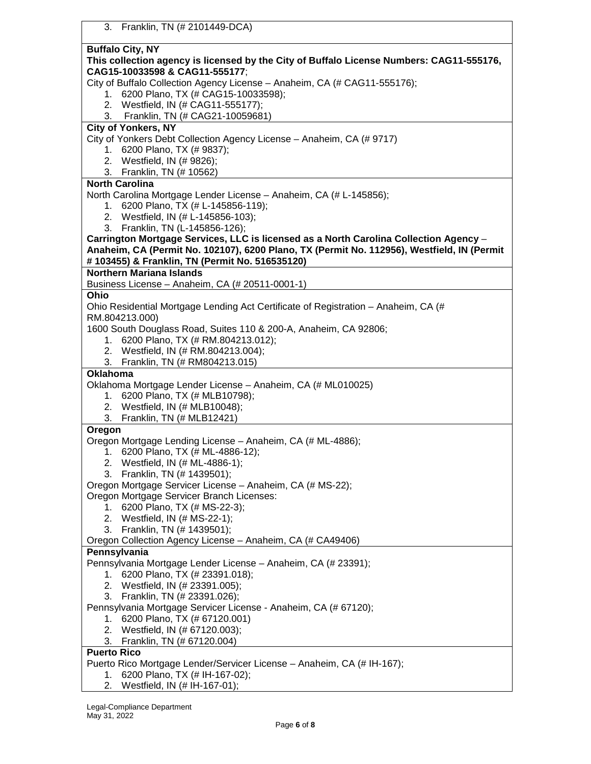| <b>Buffalo City, NY</b><br>This collection agency is licensed by the City of Buffalo License Numbers: CAG11-555176,<br>CAG15-10033598 & CAG11-555177;<br>City of Buffalo Collection Agency License - Anaheim, CA (# CAG11-555176);<br>1. 6200 Plano, TX (# CAG15-10033598);<br>2. Westfield, IN (# CAG11-555177);<br>3. Franklin, TN (# CAG21-10059681)<br><b>City of Yonkers, NY</b><br>City of Yonkers Debt Collection Agency License - Anaheim, CA (# 9717)<br>1. 6200 Plano, TX (# 9837);<br>2. Westfield, IN (# 9826);<br>3. Franklin, TN (# 10562)<br><b>North Carolina</b><br>North Carolina Mortgage Lender License - Anaheim, CA (# L-145856);<br>1. 6200 Plano, TX (# L-145856-119);<br>2. Westfield, IN (# L-145856-103);<br>3. Franklin, TN (L-145856-126);<br>Carrington Mortgage Services, LLC is licensed as a North Carolina Collection Agency -<br>Anaheim, CA (Permit No. 102107), 6200 Plano, TX (Permit No. 112956), Westfield, IN (Permit<br># 103455) & Franklin, TN (Permit No. 516535120)<br><b>Northern Mariana Islands</b><br>Business License - Anaheim, CA (# 20511-0001-1)<br>Ohio<br>Ohio Residential Mortgage Lending Act Certificate of Registration - Anaheim, CA (#<br>RM.804213.000)<br>1600 South Douglass Road, Suites 110 & 200-A, Anaheim, CA 92806;<br>1. 6200 Plano, TX (# RM.804213.012);<br>2. Westfield, IN (# RM.804213.004);<br>3. Franklin, TN (# RM804213.015)<br><b>Oklahoma</b><br>Oklahoma Mortgage Lender License - Anaheim, CA (# ML010025)<br>1. 6200 Plano, TX (# MLB10798);<br>2. Westfield, IN (# MLB10048);<br>3. Franklin, TN (# MLB12421)<br>Oregon<br>Oregon Mortgage Lending License - Anaheim, CA (# ML-4886);<br>1. 6200 Plano, TX (# ML-4886-12); |
|--------------------------------------------------------------------------------------------------------------------------------------------------------------------------------------------------------------------------------------------------------------------------------------------------------------------------------------------------------------------------------------------------------------------------------------------------------------------------------------------------------------------------------------------------------------------------------------------------------------------------------------------------------------------------------------------------------------------------------------------------------------------------------------------------------------------------------------------------------------------------------------------------------------------------------------------------------------------------------------------------------------------------------------------------------------------------------------------------------------------------------------------------------------------------------------------------------------------------------------------------------------------------------------------------------------------------------------------------------------------------------------------------------------------------------------------------------------------------------------------------------------------------------------------------------------------------------------------------------------------------------------------------------------------------------------------------------------------|
|                                                                                                                                                                                                                                                                                                                                                                                                                                                                                                                                                                                                                                                                                                                                                                                                                                                                                                                                                                                                                                                                                                                                                                                                                                                                                                                                                                                                                                                                                                                                                                                                                                                                                                                    |
|                                                                                                                                                                                                                                                                                                                                                                                                                                                                                                                                                                                                                                                                                                                                                                                                                                                                                                                                                                                                                                                                                                                                                                                                                                                                                                                                                                                                                                                                                                                                                                                                                                                                                                                    |
|                                                                                                                                                                                                                                                                                                                                                                                                                                                                                                                                                                                                                                                                                                                                                                                                                                                                                                                                                                                                                                                                                                                                                                                                                                                                                                                                                                                                                                                                                                                                                                                                                                                                                                                    |
|                                                                                                                                                                                                                                                                                                                                                                                                                                                                                                                                                                                                                                                                                                                                                                                                                                                                                                                                                                                                                                                                                                                                                                                                                                                                                                                                                                                                                                                                                                                                                                                                                                                                                                                    |
|                                                                                                                                                                                                                                                                                                                                                                                                                                                                                                                                                                                                                                                                                                                                                                                                                                                                                                                                                                                                                                                                                                                                                                                                                                                                                                                                                                                                                                                                                                                                                                                                                                                                                                                    |
|                                                                                                                                                                                                                                                                                                                                                                                                                                                                                                                                                                                                                                                                                                                                                                                                                                                                                                                                                                                                                                                                                                                                                                                                                                                                                                                                                                                                                                                                                                                                                                                                                                                                                                                    |
|                                                                                                                                                                                                                                                                                                                                                                                                                                                                                                                                                                                                                                                                                                                                                                                                                                                                                                                                                                                                                                                                                                                                                                                                                                                                                                                                                                                                                                                                                                                                                                                                                                                                                                                    |
|                                                                                                                                                                                                                                                                                                                                                                                                                                                                                                                                                                                                                                                                                                                                                                                                                                                                                                                                                                                                                                                                                                                                                                                                                                                                                                                                                                                                                                                                                                                                                                                                                                                                                                                    |
|                                                                                                                                                                                                                                                                                                                                                                                                                                                                                                                                                                                                                                                                                                                                                                                                                                                                                                                                                                                                                                                                                                                                                                                                                                                                                                                                                                                                                                                                                                                                                                                                                                                                                                                    |
|                                                                                                                                                                                                                                                                                                                                                                                                                                                                                                                                                                                                                                                                                                                                                                                                                                                                                                                                                                                                                                                                                                                                                                                                                                                                                                                                                                                                                                                                                                                                                                                                                                                                                                                    |
|                                                                                                                                                                                                                                                                                                                                                                                                                                                                                                                                                                                                                                                                                                                                                                                                                                                                                                                                                                                                                                                                                                                                                                                                                                                                                                                                                                                                                                                                                                                                                                                                                                                                                                                    |
|                                                                                                                                                                                                                                                                                                                                                                                                                                                                                                                                                                                                                                                                                                                                                                                                                                                                                                                                                                                                                                                                                                                                                                                                                                                                                                                                                                                                                                                                                                                                                                                                                                                                                                                    |
|                                                                                                                                                                                                                                                                                                                                                                                                                                                                                                                                                                                                                                                                                                                                                                                                                                                                                                                                                                                                                                                                                                                                                                                                                                                                                                                                                                                                                                                                                                                                                                                                                                                                                                                    |
|                                                                                                                                                                                                                                                                                                                                                                                                                                                                                                                                                                                                                                                                                                                                                                                                                                                                                                                                                                                                                                                                                                                                                                                                                                                                                                                                                                                                                                                                                                                                                                                                                                                                                                                    |
|                                                                                                                                                                                                                                                                                                                                                                                                                                                                                                                                                                                                                                                                                                                                                                                                                                                                                                                                                                                                                                                                                                                                                                                                                                                                                                                                                                                                                                                                                                                                                                                                                                                                                                                    |
|                                                                                                                                                                                                                                                                                                                                                                                                                                                                                                                                                                                                                                                                                                                                                                                                                                                                                                                                                                                                                                                                                                                                                                                                                                                                                                                                                                                                                                                                                                                                                                                                                                                                                                                    |
|                                                                                                                                                                                                                                                                                                                                                                                                                                                                                                                                                                                                                                                                                                                                                                                                                                                                                                                                                                                                                                                                                                                                                                                                                                                                                                                                                                                                                                                                                                                                                                                                                                                                                                                    |
|                                                                                                                                                                                                                                                                                                                                                                                                                                                                                                                                                                                                                                                                                                                                                                                                                                                                                                                                                                                                                                                                                                                                                                                                                                                                                                                                                                                                                                                                                                                                                                                                                                                                                                                    |
|                                                                                                                                                                                                                                                                                                                                                                                                                                                                                                                                                                                                                                                                                                                                                                                                                                                                                                                                                                                                                                                                                                                                                                                                                                                                                                                                                                                                                                                                                                                                                                                                                                                                                                                    |
|                                                                                                                                                                                                                                                                                                                                                                                                                                                                                                                                                                                                                                                                                                                                                                                                                                                                                                                                                                                                                                                                                                                                                                                                                                                                                                                                                                                                                                                                                                                                                                                                                                                                                                                    |
|                                                                                                                                                                                                                                                                                                                                                                                                                                                                                                                                                                                                                                                                                                                                                                                                                                                                                                                                                                                                                                                                                                                                                                                                                                                                                                                                                                                                                                                                                                                                                                                                                                                                                                                    |
|                                                                                                                                                                                                                                                                                                                                                                                                                                                                                                                                                                                                                                                                                                                                                                                                                                                                                                                                                                                                                                                                                                                                                                                                                                                                                                                                                                                                                                                                                                                                                                                                                                                                                                                    |
|                                                                                                                                                                                                                                                                                                                                                                                                                                                                                                                                                                                                                                                                                                                                                                                                                                                                                                                                                                                                                                                                                                                                                                                                                                                                                                                                                                                                                                                                                                                                                                                                                                                                                                                    |
|                                                                                                                                                                                                                                                                                                                                                                                                                                                                                                                                                                                                                                                                                                                                                                                                                                                                                                                                                                                                                                                                                                                                                                                                                                                                                                                                                                                                                                                                                                                                                                                                                                                                                                                    |
|                                                                                                                                                                                                                                                                                                                                                                                                                                                                                                                                                                                                                                                                                                                                                                                                                                                                                                                                                                                                                                                                                                                                                                                                                                                                                                                                                                                                                                                                                                                                                                                                                                                                                                                    |
|                                                                                                                                                                                                                                                                                                                                                                                                                                                                                                                                                                                                                                                                                                                                                                                                                                                                                                                                                                                                                                                                                                                                                                                                                                                                                                                                                                                                                                                                                                                                                                                                                                                                                                                    |
|                                                                                                                                                                                                                                                                                                                                                                                                                                                                                                                                                                                                                                                                                                                                                                                                                                                                                                                                                                                                                                                                                                                                                                                                                                                                                                                                                                                                                                                                                                                                                                                                                                                                                                                    |
|                                                                                                                                                                                                                                                                                                                                                                                                                                                                                                                                                                                                                                                                                                                                                                                                                                                                                                                                                                                                                                                                                                                                                                                                                                                                                                                                                                                                                                                                                                                                                                                                                                                                                                                    |
|                                                                                                                                                                                                                                                                                                                                                                                                                                                                                                                                                                                                                                                                                                                                                                                                                                                                                                                                                                                                                                                                                                                                                                                                                                                                                                                                                                                                                                                                                                                                                                                                                                                                                                                    |
|                                                                                                                                                                                                                                                                                                                                                                                                                                                                                                                                                                                                                                                                                                                                                                                                                                                                                                                                                                                                                                                                                                                                                                                                                                                                                                                                                                                                                                                                                                                                                                                                                                                                                                                    |
|                                                                                                                                                                                                                                                                                                                                                                                                                                                                                                                                                                                                                                                                                                                                                                                                                                                                                                                                                                                                                                                                                                                                                                                                                                                                                                                                                                                                                                                                                                                                                                                                                                                                                                                    |
|                                                                                                                                                                                                                                                                                                                                                                                                                                                                                                                                                                                                                                                                                                                                                                                                                                                                                                                                                                                                                                                                                                                                                                                                                                                                                                                                                                                                                                                                                                                                                                                                                                                                                                                    |
|                                                                                                                                                                                                                                                                                                                                                                                                                                                                                                                                                                                                                                                                                                                                                                                                                                                                                                                                                                                                                                                                                                                                                                                                                                                                                                                                                                                                                                                                                                                                                                                                                                                                                                                    |
|                                                                                                                                                                                                                                                                                                                                                                                                                                                                                                                                                                                                                                                                                                                                                                                                                                                                                                                                                                                                                                                                                                                                                                                                                                                                                                                                                                                                                                                                                                                                                                                                                                                                                                                    |
|                                                                                                                                                                                                                                                                                                                                                                                                                                                                                                                                                                                                                                                                                                                                                                                                                                                                                                                                                                                                                                                                                                                                                                                                                                                                                                                                                                                                                                                                                                                                                                                                                                                                                                                    |
|                                                                                                                                                                                                                                                                                                                                                                                                                                                                                                                                                                                                                                                                                                                                                                                                                                                                                                                                                                                                                                                                                                                                                                                                                                                                                                                                                                                                                                                                                                                                                                                                                                                                                                                    |
|                                                                                                                                                                                                                                                                                                                                                                                                                                                                                                                                                                                                                                                                                                                                                                                                                                                                                                                                                                                                                                                                                                                                                                                                                                                                                                                                                                                                                                                                                                                                                                                                                                                                                                                    |
|                                                                                                                                                                                                                                                                                                                                                                                                                                                                                                                                                                                                                                                                                                                                                                                                                                                                                                                                                                                                                                                                                                                                                                                                                                                                                                                                                                                                                                                                                                                                                                                                                                                                                                                    |
|                                                                                                                                                                                                                                                                                                                                                                                                                                                                                                                                                                                                                                                                                                                                                                                                                                                                                                                                                                                                                                                                                                                                                                                                                                                                                                                                                                                                                                                                                                                                                                                                                                                                                                                    |
| 2. Westfield, IN (# ML-4886-1);                                                                                                                                                                                                                                                                                                                                                                                                                                                                                                                                                                                                                                                                                                                                                                                                                                                                                                                                                                                                                                                                                                                                                                                                                                                                                                                                                                                                                                                                                                                                                                                                                                                                                    |
| Franklin, TN (# 1439501);<br>3.                                                                                                                                                                                                                                                                                                                                                                                                                                                                                                                                                                                                                                                                                                                                                                                                                                                                                                                                                                                                                                                                                                                                                                                                                                                                                                                                                                                                                                                                                                                                                                                                                                                                                    |
| Oregon Mortgage Servicer License - Anaheim, CA (# MS-22);                                                                                                                                                                                                                                                                                                                                                                                                                                                                                                                                                                                                                                                                                                                                                                                                                                                                                                                                                                                                                                                                                                                                                                                                                                                                                                                                                                                                                                                                                                                                                                                                                                                          |
| Oregon Mortgage Servicer Branch Licenses:                                                                                                                                                                                                                                                                                                                                                                                                                                                                                                                                                                                                                                                                                                                                                                                                                                                                                                                                                                                                                                                                                                                                                                                                                                                                                                                                                                                                                                                                                                                                                                                                                                                                          |
| 1. 6200 Plano, TX (# MS-22-3);                                                                                                                                                                                                                                                                                                                                                                                                                                                                                                                                                                                                                                                                                                                                                                                                                                                                                                                                                                                                                                                                                                                                                                                                                                                                                                                                                                                                                                                                                                                                                                                                                                                                                     |
| 2. Westfield, IN (# MS-22-1);                                                                                                                                                                                                                                                                                                                                                                                                                                                                                                                                                                                                                                                                                                                                                                                                                                                                                                                                                                                                                                                                                                                                                                                                                                                                                                                                                                                                                                                                                                                                                                                                                                                                                      |
| 3. Franklin, TN (# 1439501);                                                                                                                                                                                                                                                                                                                                                                                                                                                                                                                                                                                                                                                                                                                                                                                                                                                                                                                                                                                                                                                                                                                                                                                                                                                                                                                                                                                                                                                                                                                                                                                                                                                                                       |
| Oregon Collection Agency License - Anaheim, CA (# CA49406)                                                                                                                                                                                                                                                                                                                                                                                                                                                                                                                                                                                                                                                                                                                                                                                                                                                                                                                                                                                                                                                                                                                                                                                                                                                                                                                                                                                                                                                                                                                                                                                                                                                         |
| Pennsylvania                                                                                                                                                                                                                                                                                                                                                                                                                                                                                                                                                                                                                                                                                                                                                                                                                                                                                                                                                                                                                                                                                                                                                                                                                                                                                                                                                                                                                                                                                                                                                                                                                                                                                                       |
| Pennsylvania Mortgage Lender License - Anaheim, CA (# 23391);                                                                                                                                                                                                                                                                                                                                                                                                                                                                                                                                                                                                                                                                                                                                                                                                                                                                                                                                                                                                                                                                                                                                                                                                                                                                                                                                                                                                                                                                                                                                                                                                                                                      |
| 1. 6200 Plano, TX (# 23391.018);                                                                                                                                                                                                                                                                                                                                                                                                                                                                                                                                                                                                                                                                                                                                                                                                                                                                                                                                                                                                                                                                                                                                                                                                                                                                                                                                                                                                                                                                                                                                                                                                                                                                                   |
| 2. Westfield, IN (# 23391.005);                                                                                                                                                                                                                                                                                                                                                                                                                                                                                                                                                                                                                                                                                                                                                                                                                                                                                                                                                                                                                                                                                                                                                                                                                                                                                                                                                                                                                                                                                                                                                                                                                                                                                    |
|                                                                                                                                                                                                                                                                                                                                                                                                                                                                                                                                                                                                                                                                                                                                                                                                                                                                                                                                                                                                                                                                                                                                                                                                                                                                                                                                                                                                                                                                                                                                                                                                                                                                                                                    |
| 3. Franklin, TN (# 23391.026);                                                                                                                                                                                                                                                                                                                                                                                                                                                                                                                                                                                                                                                                                                                                                                                                                                                                                                                                                                                                                                                                                                                                                                                                                                                                                                                                                                                                                                                                                                                                                                                                                                                                                     |
| Pennsylvania Mortgage Servicer License - Anaheim, CA (# 67120);                                                                                                                                                                                                                                                                                                                                                                                                                                                                                                                                                                                                                                                                                                                                                                                                                                                                                                                                                                                                                                                                                                                                                                                                                                                                                                                                                                                                                                                                                                                                                                                                                                                    |
| 1. 6200 Plano, TX (# 67120.001)                                                                                                                                                                                                                                                                                                                                                                                                                                                                                                                                                                                                                                                                                                                                                                                                                                                                                                                                                                                                                                                                                                                                                                                                                                                                                                                                                                                                                                                                                                                                                                                                                                                                                    |
|                                                                                                                                                                                                                                                                                                                                                                                                                                                                                                                                                                                                                                                                                                                                                                                                                                                                                                                                                                                                                                                                                                                                                                                                                                                                                                                                                                                                                                                                                                                                                                                                                                                                                                                    |
| 2. Westfield, IN (# 67120.003);                                                                                                                                                                                                                                                                                                                                                                                                                                                                                                                                                                                                                                                                                                                                                                                                                                                                                                                                                                                                                                                                                                                                                                                                                                                                                                                                                                                                                                                                                                                                                                                                                                                                                    |
| 3. Franklin, TN (# 67120.004)                                                                                                                                                                                                                                                                                                                                                                                                                                                                                                                                                                                                                                                                                                                                                                                                                                                                                                                                                                                                                                                                                                                                                                                                                                                                                                                                                                                                                                                                                                                                                                                                                                                                                      |
| <b>Puerto Rico</b>                                                                                                                                                                                                                                                                                                                                                                                                                                                                                                                                                                                                                                                                                                                                                                                                                                                                                                                                                                                                                                                                                                                                                                                                                                                                                                                                                                                                                                                                                                                                                                                                                                                                                                 |
| Puerto Rico Mortgage Lender/Servicer License - Anaheim, CA (# IH-167);<br>1. 6200 Plano, TX (# IH-167-02);                                                                                                                                                                                                                                                                                                                                                                                                                                                                                                                                                                                                                                                                                                                                                                                                                                                                                                                                                                                                                                                                                                                                                                                                                                                                                                                                                                                                                                                                                                                                                                                                         |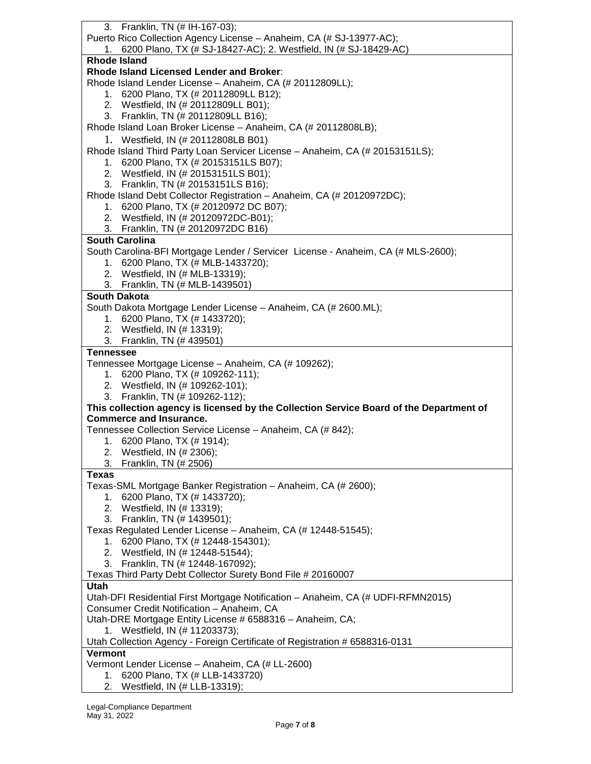| 3. Franklin, TN (# IH-167-03);                                                          |
|-----------------------------------------------------------------------------------------|
| Puerto Rico Collection Agency License - Anaheim, CA (# SJ-13977-AC);                    |
| 1. 6200 Plano, TX (# SJ-18427-AC); 2. Westfield, IN (# SJ-18429-AC)                     |
| <b>Rhode Island</b>                                                                     |
| Rhode Island Licensed Lender and Broker:                                                |
| Rhode Island Lender License - Anaheim, CA (# 20112809LL);                               |
| 1. 6200 Plano, TX (# 20112809LL B12);                                                   |
| 2. Westfield, IN (# 20112809LL B01);                                                    |
| 3. Franklin, TN (# 20112809LL B16);                                                     |
| Rhode Island Loan Broker License - Anaheim, CA (# 20112808LB);                          |
| 1. Westfield, IN (# 20112808LB B01)                                                     |
| Rhode Island Third Party Loan Servicer License - Anaheim, CA (# 20153151LS);            |
| 1. 6200 Plano, TX (# 20153151LS B07);                                                   |
| 2. Westfield, IN (# 20153151LS B01);                                                    |
| 3. Franklin, TN (# 20153151LS B16);                                                     |
| Rhode Island Debt Collector Registration - Anaheim, CA (# 20120972DC);                  |
| 1. 6200 Plano, TX (# 20120972 DC B07);                                                  |
| 2. Westfield, IN (# 20120972DC-B01);                                                    |
| 3. Franklin, TN (# 20120972DC B16)                                                      |
| <b>South Carolina</b>                                                                   |
| South Carolina-BFI Mortgage Lender / Servicer License - Anaheim, CA (# MLS-2600);       |
| 1. 6200 Plano, TX (# MLB-1433720);                                                      |
| 2. Westfield, IN (# MLB-13319);                                                         |
| 3. Franklin, TN (# MLB-1439501)                                                         |
| <b>South Dakota</b>                                                                     |
| South Dakota Mortgage Lender License - Anaheim, CA (# 2600.ML);                         |
| 1. 6200 Plano, TX (# 1433720);                                                          |
| 2. Westfield, IN (# 13319);                                                             |
| 3. Franklin, TN (# 439501)                                                              |
| <b>Tennessee</b>                                                                        |
| Tennessee Mortgage License - Anaheim, CA (# 109262);                                    |
| 1. 6200 Plano, TX (# 109262-111);                                                       |
| 2. Westfield, IN (# 109262-101);                                                        |
| 3. Franklin, TN (# 109262-112);                                                         |
| This collection agency is licensed by the Collection Service Board of the Department of |
| <b>Commerce and Insurance.</b>                                                          |
| Tennessee Collection Service License - Anaheim, CA (# 842);                             |
| 1. 6200 Plano, TX (# 1914);                                                             |
| 2. Westfield, IN (# 2306);<br>3. Franklin, TN (# 2506)                                  |
| <b>Texas</b>                                                                            |
| Texas-SML Mortgage Banker Registration - Anaheim, CA (# 2600);                          |
| 6200 Plano, TX (# 1433720);<br>1.                                                       |
| 2. Westfield, IN (# 13319);                                                             |
| 3. Franklin, TN (# 1439501);                                                            |
| Texas Regulated Lender License - Anaheim, CA (# 12448-51545);                           |
| 1. 6200 Plano, TX (# 12448-154301);                                                     |
| 2. Westfield, IN (# 12448-51544);                                                       |
| 3. Franklin, TN (# 12448-167092);                                                       |
| Texas Third Party Debt Collector Surety Bond File # 20160007                            |
| <b>Utah</b>                                                                             |
| Utah-DFI Residential First Mortgage Notification - Anaheim, CA (# UDFI-RFMN2015)        |
| Consumer Credit Notification - Anaheim, CA                                              |
| Utah-DRE Mortgage Entity License # 6588316 - Anaheim, CA;                               |
| 1. Westfield, IN (# 11203373);                                                          |
| Utah Collection Agency - Foreign Certificate of Registration # 6588316-0131             |
| <b>Vermont</b>                                                                          |
| Vermont Lender License - Anaheim, CA (# LL-2600)                                        |
|                                                                                         |
| 6200 Plano, TX (# LLB-1433720)<br>1.<br>2. Westfield, IN (# LLB-13319);                 |

2. Westfield, IN (# LLB-13319);